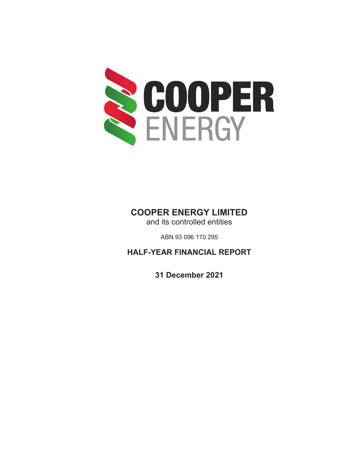

# **COOPER ENERGY LIMITED**

and its controlled entities

ABN 93 096 170 295

**HALF-YEAR FINANCIAL REPORT** 

**31 December 2021**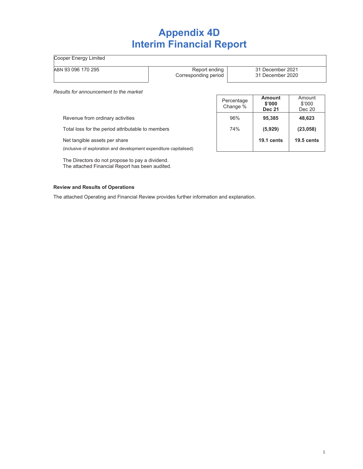# **Appendix 4D Interim Financial Report**

Cooper Energy Limited

ABN 93 096 170 295 **Report ending** 

Corresponding period

Percentage Change %

31 December 2021 31 December 2020

> **Amount** \$'000 Dec 20

**Amount \$'000 Dec 21**

*Results for announcement to the market* 

Revenue from ordinary activities 96% **95,385 48,623**

Total loss for the period attributable to members **1998 1998 (5,929)** (23,058)

Net tangible assets per share **19.1** cents **19.5 cents** 19.5 cents

(inclusive of exploration and development expenditure capitalised)

The Directors do not propose to pay a dividend. The attached Financial Report has been audited.

#### **Review and Results of Operations**

The attached Operating and Financial Review provides further information and explanation.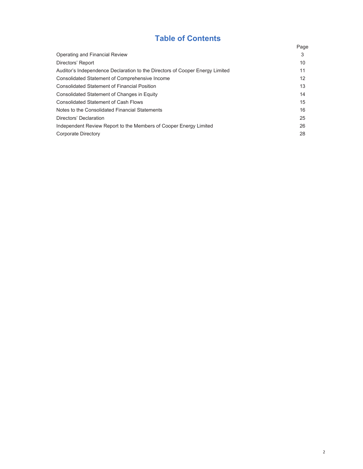# **Table of Contents**

|                                                                              | Page |
|------------------------------------------------------------------------------|------|
| Operating and Financial Review                                               | 3    |
| Directors' Report                                                            | 10   |
| Auditor's Independence Declaration to the Directors of Cooper Energy Limited | 11   |
| Consolidated Statement of Comprehensive Income                               | 12   |
| <b>Consolidated Statement of Financial Position</b>                          | 13   |
| Consolidated Statement of Changes in Equity                                  | 14   |
| <b>Consolidated Statement of Cash Flows</b>                                  | 15   |
| Notes to the Consolidated Financial Statements                               | 16   |
| Directors' Declaration                                                       | 25   |
| Independent Review Report to the Members of Cooper Energy Limited            | 26   |
| Corporate Directory                                                          | 28   |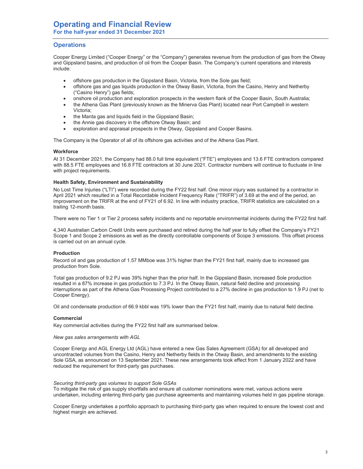## **Operations**

Cooper Energy Limited ("Cooper Energy" or the "Company") generates revenue from the production of gas from the Otway and Gippsland basins, and production of oil from the Cooper Basin. The Company's current operations and interests include:

- offshore gas production in the Gippsland Basin, Victoria, from the Sole gas field;
- offshore gas and gas liquids production in the Otway Basin, Victoria, from the Casino, Henry and Netherby ("Casino Henry") gas fields;
- onshore oil production and exploration prospects in the western flank of the Cooper Basin, South Australia;
- the Athena Gas Plant (previously known as the Minerva Gas Plant) located near Port Campbell in western Victoria;
- the Manta gas and liquids field in the Gippsland Basin;
- the Annie gas discovery in the offshore Otway Basin; and
- exploration and appraisal prospects in the Otway, Gippsland and Cooper Basins.

The Company is the Operator of all of its offshore gas activities and of the Athena Gas Plant.

#### **Workforce**

At 31 December 2021, the Company had 88.0 full time equivalent ("FTE") employees and 13.6 FTE contractors compared with 88.5 FTE employees and 16.8 FTE contractors at 30 June 2021. Contractor numbers will continue to fluctuate in line with project requirements.

#### **Health Safety, Environment and Sustainability**

No Lost Time Injuries ("LTI") were recorded during the FY22 first half. One minor injury was sustained by a contractor in April 2021 which resulted in a Total Recordable Incident Frequency Rate ("TRIFR") of 3.69 at the end of the period, an improvement on the TRIFR at the end of FY21 of 6.92. In line with industry practice, TRIFR statistics are calculated on a trailing 12-month basis.

There were no Tier 1 or Tier 2 process safety incidents and no reportable environmental incidents during the FY22 first half.

4,340 Australian Carbon Credit Units were purchased and retired during the half year to fully offset the Company's FY21 Scope 1 and Scope 2 emissions as well as the directly controllable components of Scope 3 emissions. This offset process is carried out on an annual cycle.

#### **Production**

Record oil and gas production of 1.57 MMboe was 31% higher than the FY21 first half, mainly due to increased gas production from Sole.

Total gas production of 9.2 PJ was 39% higher than the prior half. In the Gippsland Basin, increased Sole production resulted in a 87% increase in gas production to 7.3 PJ. In the Otway Basin, natural field decline and processing interruptions as part of the Athena Gas Processing Project contributed to a 27% decline in gas production to 1.9 PJ (net to Cooper Energy).

Oil and condensate production of 66.9 kbbl was 19% lower than the FY21 first half, mainly due to natural field decline.

#### **Commercial**

Key commercial activities during the FY22 first half are summarised below.

*New gas sales arrangements with AGL* 

Cooper Energy and AGL Energy Ltd (AGL) have entered a new Gas Sales Agreement (GSA) for all developed and uncontracted volumes from the Casino, Henry and Netherby fields in the Otway Basin, and amendments to the existing Sole GSA, as announced on 13 September 2021. These new arrangements took effect from 1 January 2022 and have reduced the requirement for third-party gas purchases.

*Securing third-party gas volumes to support Sole GSAs* 

To mitigate the risk of gas supply shortfalls and ensure all customer nominations were met, various actions were undertaken, including entering third-party gas purchase agreements and maintaining volumes held in gas pipeline storage.

Cooper Energy undertakes a portfolio approach to purchasing third-party gas when required to ensure the lowest cost and highest margin are achieved.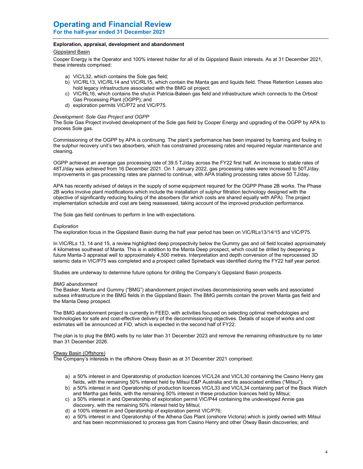#### **Exploration, appraisal, development and abandonment**

#### Gippsland Basin

Cooper Energy is the Operator and 100% interest holder for all of its Gippsland Basin interests. As at 31 December 2021, these interests comprised:

- a) VIC/L32, which contains the Sole gas field;
- b) VIC/RL13, VIC/RL14 and VIC/RL15, which contain the Manta gas and liquids field. These Retention Leases also hold legacy infrastructure associated with the BMG oil project;
- c) VIC/RL16, which contains the shut-in Patricia-Baleen gas field and infrastructure which connects to the Orbost Gas Processing Plant (OGPP); and
- d) exploration permits VIC/P72 and VIC/P75.

#### *Development: Sole Gas Project and OGPP*

The Sole Gas Project involved development of the Sole gas field by Cooper Energy and upgrading of the OGPP by APA to process Sole gas.

Commissioning of the OGPP by APA is continuing. The plant's performance has been impaired by foaming and fouling in the sulphur recovery unit's two absorbers, which has constrained processing rates and required regular maintenance and cleaning.

OGPP achieved an average gas processing rate of 39.5 TJ/day across the FY22 first half. An increase to stable rates of 48TJ/day was achieved from 16 December 2021. On 1 January 2022, gas processing rates were increased to 50TJ/day. Improvements in gas processing rates are planned to continue, with APA trialling processing rates above 50 TJ/day.

APA has recently advised of delays in the supply of some equipment required for the OGPP Phase 2B works. The Phase 2B works involve plant modifications which include the installation of sulphur filtration technology designed with the objective of significantly reducing fouling of the absorbers (for which costs are shared equally with APA). The project implementation schedule and cost are being reassessed, taking account of the improved production performance.

The Sole gas field continues to perform in line with expectations.

#### *Exploration*

The exploration focus in the Gippsland Basin during the half year period has been on VIC/RLs13/14/15 and VIC/P75.

In VIC/RLs 13, 14 and 15, a review highlighted deep prospectivity below the Gummy gas and oil field located approximately 4 kilometres southeast of Manta. This is in addition to the Manta Deep prospect, which could be drilled by deepening a future Manta-3 appraisal well to approximately 4,500 metres. Interpretation and depth conversion of the reprocessed 3D seismic data in VIC/P75 was completed and a prospect called Spineback was identified during the FY22 half year period.

Studies are underway to determine future options for drilling the Company's Gippsland Basin prospects.

#### *BMG abandonment*

The Basker, Manta and Gummy ("BMG") abandonment project involves decommissioning seven wells and associated subsea infrastructure in the BMG fields in the Gippsland Basin. The BMG permits contain the proven Manta gas field and the Manta Deep prospect.

The BMG abandonment project is currently in FEED, with activities focused on selecting optimal methodologies and technologies for safe and cost-effective delivery of the decommissioning objectives. Details of scope of works and cost estimates will be announced at FID, which is expected in the second half of FY22.

The plan is to plug the BMG wells by no later than 31 December 2023 and remove the remaining infrastructure by no later than 31 December 2026.

#### Otway Basin (Offshore)

The Company's interests in the offshore Otway Basin as at 31 December 2021 comprised:

- a) a 50% interest in and Operatorship of production licences VIC/L24 and VIC/L30 containing the Casino Henry gas fields, with the remaining 50% interest held by Mitsui E&P Australia and its associated entities ("Mitsui");
- b) a 50% interest in and Operatorship of production licences VIC/L33 and VIC/L34 containing part of the Black Watch and Martha gas fields, with the remaining 50% interest in these production licences held by Mitsui;
- c) a 50% interest in and Operatorship of exploration permit VIC/P44 containing the undeveloped Annie gas discovery, with the remaining 50% interest held by Mitsui;
- d) a 100% interest in and Operatorship of exploration permit VIC/P76;
- e) a 50% interest in and Operatorship of the Athena Gas Plant (onshore Victoria) which is jointly owned with Mitsui and has been recommissioned to process gas from Casino Henry and other Otway Basin discoveries; and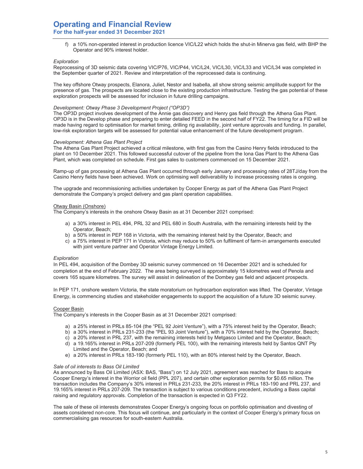## **Operating and Financial Review For the half-year ended 31 December 2021**

f) a 10% non-operated interest in production licence VIC/L22 which holds the shut-in Minerva gas field, with BHP the Operator and 90% interest holder.

#### *Exploration*

Reprocessing of 3D seismic data covering VIC/P76, VIC/P44, VIC/L24, VIC/L30, VIC/L33 and VIC/L34 was completed in the September quarter of 2021. Review and interpretation of the reprocessed data is continuing.

The key offshore Otway prospects, Elanora, Juliet, Nestor and Isabella, all show strong seismic amplitude support for the presence of gas. The prospects are located close to the existing production infrastructure. Testing the gas potential of these exploration prospects will be assessed for inclusion in future drilling campaigns.

#### *Development: Otway Phase 3 Development Project ("OP3D")*

The OP3D project involves development of the Annie gas discovery and Henry gas field through the Athena Gas Plant. OP3D is in the Develop phase and preparing to enter detailed FEED in the second half of FY22. The timing for a FID will be made having regard to optimisation for market timing, drilling rig availability, joint venture approvals and funding. In parallel, low-risk exploration targets will be assessed for potential value enhancement of the future development program.

#### *Development: Athena Gas Plant Project*

The Athena Gas Plant Project achieved a critical milestone, with first gas from the Casino Henry fields introduced to the plant on 10 December 2021. This followed successful cutover of the pipeline from the Iona Gas Plant to the Athena Gas Plant, which was completed on schedule. First gas sales to customers commenced on 15 December 2021.

Ramp-up of gas processing at Athena Gas Plant occurred through early January and processing rates of 28TJ/day from the Casino Henry fields have been achieved. Work on optimising well deliverability to increase processing rates is ongoing.

The upgrade and recommissioning activities undertaken by Cooper Energy as part of the Athena Gas Plant Project demonstrate the Company's project delivery and gas plant operation capabilities.

#### Otway Basin (Onshore)

The Company's interests in the onshore Otway Basin as at 31 December 2021 comprised:

- a) a 30% interest in PEL 494, PRL 32 and PEL 680 in South Australia, with the remaining interests held by the Operator, Beach;
- b) a 50% interest in PEP 168 in Victoria, with the remaining interest held by the Operator, Beach; and
- c) a 75% interest in PEP 171 in Victoria, which may reduce to 50% on fulfilment of farm-in arrangements executed with joint venture partner and Operator Vintage Energy Limited.

#### *Exploration*

In PEL 494, acquisition of the Dombey 3D seismic survey commenced on 16 December 2021 and is scheduled for completion at the end of February 2022. The area being surveyed is approximately 15 kilometres west of Penola and covers 165 square kilometres. The survey will assist in delineation of the Dombey gas field and adjacent prospects.

In PEP 171, onshore western Victoria, the state moratorium on hydrocarbon exploration was lifted. The Operator, Vintage Energy, is commencing studies and stakeholder engagements to support the acquisition of a future 3D seismic survey.

#### Cooper Basin

The Company's interests in the Cooper Basin as at 31 December 2021 comprised:

- a) a 25% interest in PRLs 85-104 (the "PEL 92 Joint Venture"), with a 75% interest held by the Operator, Beach;
- b) a 30% interest in PRLs 231-233 (the "PEL 93 Joint Venture"), with a 70% interest held by the Operator, Beach;
- c) a 20% interest in PRL 237, with the remaining interests held by Metgasco Limited and the Operator, Beach;
- d) a 19.165% interest in PRLs 207-209 (formerly PEL 100), with the remaining interests held by Santos QNT Pty Limited and the Operator, Beach; and
- e) a 20% interest in PRLs 183-190 (formerly PEL 110), with an 80% interest held by the Operator, Beach.

#### *Sale of oil interests to Bass Oil Limited*

As announced by Bass Oil Limited (ASX: BAS, "Bass") on 12 July 2021, agreement was reached for Bass to acquire Cooper Energy's interest in the Worrior oil field (PPL 207), and certain other exploration permits for \$0.65 million. The transaction includes the Company's 30% interest in PRLs 231-233, the 20% interest in PRLs 183-190 and PRL 237, and 19.165% interest in PRLs 207-209. The transaction is subject to various conditions precedent, including a Bass capital raising and regulatory approvals. Completion of the transaction is expected in Q3 FY22.

The sale of these oil interests demonstrates Cooper Energy's ongoing focus on portfolio optimisation and divesting of assets considered non-core. This focus will continue, and particularly in the context of Cooper Energy's primary focus on commercialising gas resources for south-eastern Australia.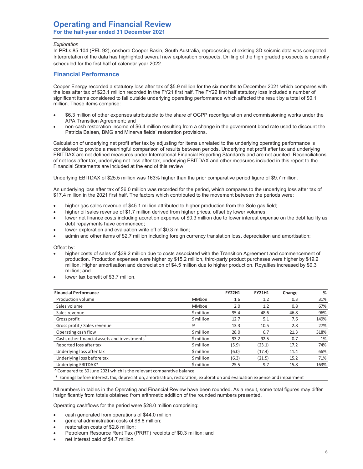#### *Exploration*

In PRLs 85-104 (PEL 92), onshore Cooper Basin, South Australia, reprocessing of existing 3D seismic data was completed. Interpretation of the data has highlighted several new exploration prospects. Drilling of the high graded prospects is currently scheduled for the first half of calendar year 2022.

### **Financial Performance**

Cooper Energy recorded a statutory loss after tax of \$5.9 million for the six months to December 2021 which compares with the loss after tax of \$23.1 million recorded in the FY21 first half. The FY22 first half statutory loss included a number of significant items considered to fall outside underlying operating performance which affected the result by a total of \$0.1 million. These items comprise:

- x \$6.3 million of other expenses attributable to the share of OGPP reconfiguration and commissioning works under the APA Transition Agreement; and
- non-cash restoration income of \$6.4 million resulting from a change in the government bond rate used to discount the Patricia Baleen, BMG and Minerva fields' restoration provisions.

Calculation of underlying net profit after tax by adjusting for items unrelated to the underlying operating performance is considered to provide a meaningful comparison of results between periods. Underlying net profit after tax and underlying EBITDAX are not defined measures under International Financial Reporting Standards and are not audited. Reconciliations of net loss after tax, underlying net loss after tax, underlying EBITDAX and other measures included in this report to the Financial Statements are included at the end of this review.

Underlying EBITDAX of \$25.5 million was 163% higher than the prior comparative period figure of \$9.7 million.

An underlying loss after tax of \$6.0 million was recorded for the period, which compares to the underlying loss after tax of \$17.4 million in the 2021 first half. The factors which contributed to the movement between the periods were:

- higher gas sales revenue of \$45.1 million attributed to higher production from the Sole gas field;
- higher oil sales revenue of \$1.7 million derived from higher prices, offset by lower volumes;
- lower net finance costs including accretion expense of \$0.3 million due to lower interest expense on the debt facility as debt repayments have commenced;
- lower exploration and evaluation write off of \$0.3 million;
- admin and other items of \$2.7 million including foreign currency translation loss, depreciation and amortisation;

Offset by:

- higher costs of sales of \$39.2 million due to costs associated with the Transition Agreement and commencement of production. Production expenses were higher by \$15.2 million, third-party product purchases were higher by \$19.2 million. Higher amortisation and depreciation of \$4.5 million due to higher production. Royalties increased by \$0.3 million; and
- lower tax benefit of \$3.7 million.

| <b>Financial Performance</b>                                         |            | <b>FY22H1</b> | <b>FY21H1</b> | Change | %    |
|----------------------------------------------------------------------|------------|---------------|---------------|--------|------|
| Production volume                                                    | MMboe      | 1.6           | 1.2           | 0.3    | 31%  |
| Sales volume                                                         | MMboe      | 2.0           | 1.2           | 0.8    | 67%  |
| Sales revenue                                                        | \$ million | 95.4          | 48.6          | 46.8   | 96%  |
| Gross profit                                                         | \$ million | 12.7          | 5.1           | 7.6    | 149% |
| Gross profit / Sales revenue                                         | %          | 13.3          | 10.5          | 2.8    | 27%  |
| Operating cash flow                                                  | \$ million | 28.0          | 6.7           | 21.3   | 318% |
| Cash, other financial assets and investments                         | \$ million | 93.2          | 92.5          | 0.7    | 1%   |
| Reported loss after tax                                              | \$ million | (5.9)         | (23.1)        | 17.2   | 74%  |
| Underlying loss after tax                                            | \$ million | (6.0)         | (17.4)        | 11.4   | 66%  |
| Underlying loss before tax                                           | \$ million | (6.3)         | (21.5)        | 15.2   | 71%  |
| Underlying EBITDAX*                                                  | \$ million | 25.5          | 9.7           | 15.8   | 163% |
| ^ Compared to 30 June 2021 which is the relevant comparative balance |            |               |               |        |      |

\* Earnings before interest, tax, depreciation, amortisation, restoration, exploration and evaluation expense and impairment

All numbers in tables in the Operating and Financial Review have been rounded. As a result, some total figures may differ insignificantly from totals obtained from arithmetic addition of the rounded numbers presented.

Operating cashflows for the period were \$28.0 million comprising:

- cash generated from operations of \$44.0 million
- general administration costs of \$8.8 million;
- restoration costs of \$2.8 million;
- Petroleum Resource Rent Tax (PRRT) receipts of \$0.3 million; and
- net interest paid of \$4.7 million.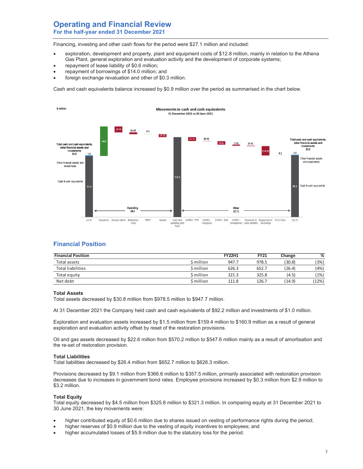## **Operating and Financial Review For the half-year ended 31 December 2021**

Financing, investing and other cash flows for the period were \$27.1 million and included:

- exploration, development and property, plant and equipment costs of \$12.8 million, mainly in relation to the Athena Gas Plant, general exploration and evaluation activity and the development of corporate systems;
- repayment of lease liability of \$0.6 million;
- repayment of borrowings of \$14.0 million; and
- foreign exchange revaluation and other of \$0.3 million.

Cash and cash equivalents balance increased by \$0.9 million over the period as summarised in the chart below.



## **Financial Position**

| <b>Financial Position</b> |            | <b>FY22H1</b> | FY21  | Change | %     |
|---------------------------|------------|---------------|-------|--------|-------|
| Total assets              | \$ million | 947.7         | 978.5 | (30.8) | (3%)  |
| <b>Total liabilities</b>  | \$ million | 626.3         | 652.7 | (26.4) | (4%   |
| Total equity              | \$ million | 321.3         | 325.8 | (4.5)  | (1%)  |
| Net debt                  | \$ million | 111.8         | 126.7 | (14.9) | (12%) |

#### **Total Assets**

Total assets decreased by \$30.8 million from \$978.5 million to \$947.7 million.

At 31 December 2021 the Company held cash and cash equivalents of \$92.2 million and investments of \$1.0 million.

Exploration and evaluation assets increased by \$1.5 million from \$159.4 million to \$160.9 million as a result of general exploration and evaluation activity offset by reset of the restoration provisions.

Oil and gas assets decreased by \$22.6 million from \$570.2 million to \$547.6 million mainly as a result of amortisation and the re-set of restoration provision.

#### **Total Liabilities**

Total liabilities decreased by \$26.4 million from \$652.7 million to \$626.3 million.

Provisions decreased by \$9.1 million from \$366.6 million to \$357.5 million, primarily associated with restoration provision decreases due to increases in government bond rates. Employee provisions increased by \$0.3 million from \$2.9 million to \$3.2 million.

#### **Total Equity**

Total equity decreased by \$4.5 million from \$325.8 million to \$321.3 million. In comparing equity at 31 December 2021 to 30 June 2021, the key movements were:

- higher contributed equity of \$0.6 million due to shares issued on vesting of performance rights during the period;
- higher reserves of \$0.9 million due to the vesting of equity incentives to employees; and
- higher accumulated losses of \$5.9 million due to the statutory loss for the period.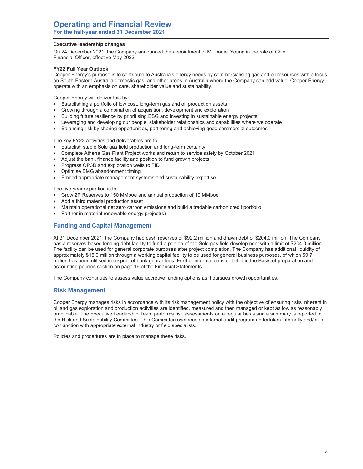#### **Executive leadership changes**

On 24 December 2021, the Company announced the appointment of Mr Daniel Young in the role of Chief Financial Officer, effective May 2022.

#### **FY22 Full Year Outlook**

Cooper Energy's purpose is to contribute to Australia's energy needs by commercialising gas and oil resources with a focus on South-Eastern Australia domestic gas, and other areas in Australia where the Company can add value. Cooper Energy operate with an emphasis on care, shareholder value and sustainability.

Cooper Energy will deliver this by:

- Establishing a portfolio of low cost, long-term gas and oil production assets
- Growing through a combination of acquisition, development and exploration
- Building future resilience by prioritising ESG and investing in sustainable energy projects
- Leveraging and developing our people, stakeholder relationships and capabilities where we operate
- Balancing risk by sharing opportunities, partnering and achieving good commercial outcomes

The key FY22 activities and deliverables are to:

- Establish stable Sole gas field production and long-term certainty
- x Complete Athena Gas Plant Project works and return to service safely by October 2021
- Adjust the bank finance facility and position to fund growth projects
- Progress OP3D and exploration wells to FID
- Optimise BMG abandonment timing
- Embed appropriate management systems and sustainability expertise

The five-year aspiration is to:

- Grow 2P Reserves to 150 MMboe and annual production of 10 MMboe
- Add a third material production asset
- Maintain operational net zero carbon emissions and build a tradable carbon credit portfolio
- Partner in material renewable energy project(s)

## **Funding and Capital Management**

At 31 December 2021, the Company had cash reserves of \$92.2 million and drawn debt of \$204.0 million. The Company has a reserves-based lending debt facility to fund a portion of the Sole gas field development with a limit of \$204.0 million. The facility can be used for general corporate purposes after project completion. The Company has additional liquidity of approximately \$15.0 million through a working capital facility to be used for general business purposes, of which \$9.7 million has been utilised in respect of bank guarantees. Further information is detailed in the Basis of preparation and accounting policies section on page 16 of the Financial Statements.

The Company continues to assess value accretive funding options as it pursues growth opportunities.

## **Risk Management**

Cooper Energy manages risks in accordance with its risk management policy with the objective of ensuring risks inherent in oil and gas exploration and production activities are identified, measured and then managed or kept as low as reasonably practicable. The Executive Leadership Team performs risk assessments on a regular basis and a summary is reported to the Risk and Sustainability Committee. This Committee oversees an internal audit program undertaken internally and/or in conjunction with appropriate external industry or field specialists.

Policies and procedures are in place to manage these risks.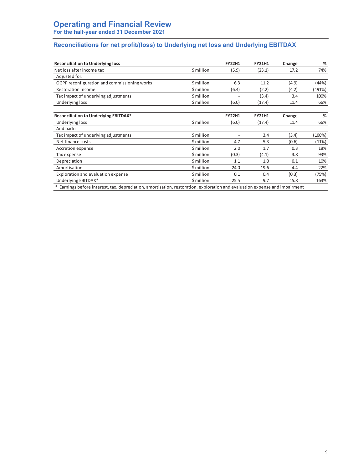## **Reconciliations for net profit/(loss) to Underlying net loss and Underlying EBITDAX**

| <b>Reconciliation to Underlying loss</b>     |            | <b>FY22H1</b>  | <b>FY21H1</b> | Change         | $\%$   |
|----------------------------------------------|------------|----------------|---------------|----------------|--------|
| Net loss after income tax                    | \$ million | (5.9)          | (23.1)        | 17.2           | 74%    |
| Adjusted for:                                |            |                |               |                |        |
| OGPP reconfiguration and commissioning works | \$ million | 6.3            | 11.2          | (4.9)          | (44%)  |
| <b>Restoration income</b>                    | \$ million | (6.4)          | (2.2)         | (4.2)          | (191%) |
| Tax impact of underlying adjustments         | \$ million |                | (3.4)         | 3.4            | 100%   |
| Underlying loss                              | \$ million | (6.0)          | (17.4)        | 11.4           | 66%    |
| Reconciliation to Underlying EBITDAX*        |            | <b>FY22H1</b>  | <b>FY21H1</b> | Change         | %      |
| Underlying loss                              | \$ million | (6.0)          | (17.4)        | 11.4           | 66%    |
| Add back:                                    |            |                |               |                |        |
| Tax impact of underlying adjustments         | \$ million | $\overline{a}$ | 3.4           | (3.4)          | (100%) |
| Net finance costs                            | \$ million | 4.7            | 5.3           | (0.6)          | (11%)  |
| Accretion expense                            | \$ million | 2.0            | 1.7           | 0.3            | 18%    |
| Tax expense                                  | \$ million | (0.3)          | (4.1)         | 3.8            | 93%    |
| Depreciation                                 | \$ million | 1.1            | 1.0           | 0.1            | 10%    |
| Amortisation                                 | \$ million | 24.0           | 19.6          | 4.4            | 22%    |
| Exploration and evaluation expense           | \$ million | 0.1            | 0.4           | (0.3)          | (75%)  |
| Underlying EBITDAX*                          | \$ million | 25.5           | 9.7           | 15.8<br>$\sim$ | 163%   |

\* Earnings before interest, tax, depreciation, amortisation, restoration, exploration and evaluation expense and impairment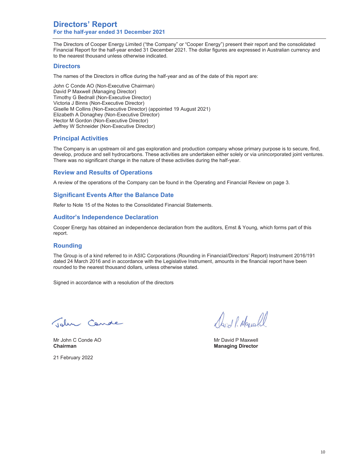## **Directors' Report For the half-year ended 31 December 2021**

The Directors of Cooper Energy Limited ("the Company" or "Cooper Energy") present their report and the consolidated Financial Report for the half-year ended 31 December 2021. The dollar figures are expressed in Australian currency and to the nearest thousand unless otherwise indicated.

### **Directors**

The names of the Directors in office during the half-year and as of the date of this report are:

John C Conde AO (Non-Executive Chairman) David P Maxwell (Managing Director) Timothy G Bednall (Non-Executive Director) Victoria J Binns (Non-Executive Director) Giselle M Collins (Non-Executive Director) (appointed 19 August 2021) Elizabeth A Donaghey (Non-Executive Director) Hector M Gordon (Non-Executive Director) Jeffrey W Schneider (Non-Executive Director)

## **Principal Activities**

The Company is an upstream oil and gas exploration and production company whose primary purpose is to secure, find, develop, produce and sell hydrocarbons. These activities are undertaken either solely or via unincorporated joint ventures. There was no significant change in the nature of these activities during the half-year.

## **Review and Results of Operations**

A review of the operations of the Company can be found in the Operating and Financial Review on page 3.

## **Significant Events After the Balance Date**

Refer to Note 15 of the Notes to the Consolidated Financial Statements.

### **Auditor's Independence Declaration**

Cooper Energy has obtained an independence declaration from the auditors, Ernst & Young, which forms part of this report.

## **Rounding**

The Group is of a kind referred to in ASIC Corporations (Rounding in Financial/Directors' Report) Instrument 2016/191 dated 24 March 2016 and in accordance with the Legislative Instrument, amounts in the financial report have been rounded to the nearest thousand dollars, unless otherwise stated.

Signed in accordance with a resolution of the directors

Telm Cande

Mr John C Conde AO **Mr David P Maxwell** Mr David P Maxwell **Chairman** Managing Director **Managing Director Managing Director** 

21 February 2022

Mont P. Marcell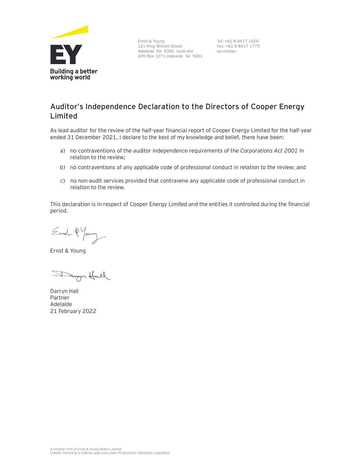

Ernst & Young 121 King William Street Adelaide SA 5000 Australia GPO Box 1271 Adelaide SA 5001

Tel: +61 8 8417 1600 Fax: +61 8 8417 1775 ey.com/au

## **Auditor's Independence Declaration to the Directors of Cooper Energy Limited**

As lead auditor for the review of the half-year financial report of Cooper Energy Limited for the half-year ended 31 December 2021, I declare to the best of my knowledge and belief, there have been:

- a) no contraventions of the auditor independence requirements of the *Corporations Act 2001* in relation to the review*;*
- b) no contraventions of any applicable code of professional conduct in relation to the review; and
- c) no non-audit services provided that contravene any applicable code of professional conduct in relation to the review.

This declaration is in respect of Cooper Energy Limited and the entities it controlled during the financial period.

Ernel-2 Young

Ernst & Young

Danyn Hall

Darryn Hall Partner Adelaide 21 February 2022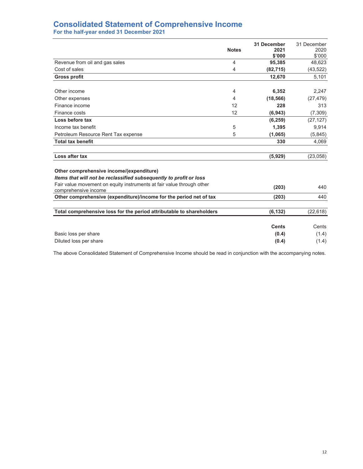## **Consolidated Statement of Comprehensive Income For the half-year ended 31 December 2021**

|                                                                                                                | <b>Notes</b> | 31 December<br>2021<br>\$'000 | 31 December<br>2020<br>\$'000 |
|----------------------------------------------------------------------------------------------------------------|--------------|-------------------------------|-------------------------------|
| Revenue from oil and gas sales                                                                                 | 4            | 95,385                        | 48,623                        |
| Cost of sales                                                                                                  | 4            | (82, 715)                     | (43, 522)                     |
| <b>Gross profit</b>                                                                                            |              | 12.670                        | 5,101                         |
|                                                                                                                |              |                               |                               |
| Other income                                                                                                   | 4            | 6,352                         | 2,247                         |
| Other expenses                                                                                                 | 4            | (18, 566)                     | (27, 479)                     |
| Finance income                                                                                                 | 12           | 228                           | 313                           |
| Finance costs                                                                                                  | 12           | (6, 943)                      | (7, 309)                      |
| Loss before tax                                                                                                |              | (6, 259)                      | (27, 127)                     |
| Income tax benefit                                                                                             | 5            | 1,395                         | 9,914                         |
| Petroleum Resource Rent Tax expense                                                                            | 5            | (1,065)                       | (5,845)                       |
| <b>Total tax benefit</b>                                                                                       |              | 330                           | 4,069                         |
|                                                                                                                |              |                               |                               |
| Loss after tax                                                                                                 |              | (5,929)                       | (23, 058)                     |
| Other comprehensive income/(expenditure)<br>Items that will not be reclassified subsequently to profit or loss |              |                               |                               |
| Fair value movement on equity instruments at fair value through other<br>comprehensive income                  |              | (203)                         | 440                           |
| Other comprehensive (expenditure)/income for the period net of tax                                             |              | (203)                         | 440                           |
|                                                                                                                |              |                               |                               |
| Total comprehensive loss for the period attributable to shareholders                                           |              | (6, 132)                      | (22, 618)                     |
|                                                                                                                |              | <b>Cents</b>                  | Cents                         |
| Basic loss per share                                                                                           |              | (0.4)                         | (1.4)                         |
| Diluted loss per share                                                                                         |              | (0.4)                         | (1.4)                         |

The above Consolidated Statement of Comprehensive Income should be read in conjunction with the accompanying notes.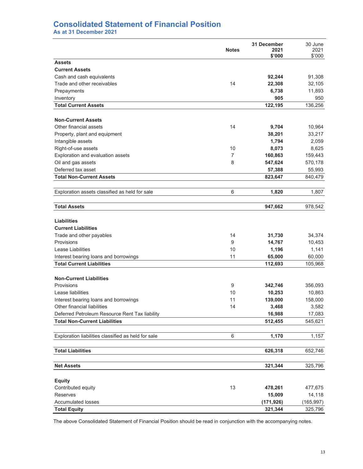## **Consolidated Statement of Financial Position**

**As at 31 December 2021** 

|                                                     | <b>Notes</b>   | <b>31 December</b><br>2021<br>\$'000 | 30 June<br>2021<br>\$'000 |
|-----------------------------------------------------|----------------|--------------------------------------|---------------------------|
| <b>Assets</b>                                       |                |                                      |                           |
| <b>Current Assets</b>                               |                |                                      |                           |
| Cash and cash equivalents                           |                | 92,244                               | 91,308                    |
| Trade and other receivables                         | 14             | 22,308                               | 32,105                    |
| Prepayments                                         |                | 6,738                                | 11,893                    |
| Inventory                                           |                | 905                                  | 950                       |
| <b>Total Current Assets</b>                         |                | 122,195                              | 136,256                   |
| <b>Non-Current Assets</b>                           |                |                                      |                           |
| Other financial assets                              | 14             | 9,704                                | 10,964                    |
| Property, plant and equipment                       |                | 38,201                               | 33,217                    |
| Intangible assets                                   |                | 1,794                                | 2,059                     |
| Right-of-use assets                                 | 10             | 8,073                                | 8,625                     |
| Exploration and evaluation assets                   | $\overline{7}$ | 160,863                              | 159,443                   |
| Oil and gas assets                                  | 8              | 547,624                              | 570,178                   |
| Deferred tax asset                                  |                | 57,388                               | 55,993                    |
| <b>Total Non-Current Assets</b>                     |                | 823,647                              | 840,479                   |
| Exploration assets classified as held for sale      | 6              | 1,820                                | 1,807                     |
| <b>Total Assets</b>                                 |                | 947,662                              | 978,542                   |
| <b>Liabilities</b>                                  |                |                                      |                           |
| <b>Current Liabilities</b>                          |                |                                      |                           |
| Trade and other payables                            | 14             | 31,730                               | 34,374                    |
| Provisions                                          | 9              | 14,767                               | 10,453                    |
| Lease Liabilities                                   | 10             | 1,196                                | 1,141                     |
| Interest bearing loans and borrowings               | 11             | 65,000                               | 60,000                    |
| <b>Total Current Liabilities</b>                    |                | 112,693                              | 105,968                   |
| <b>Non-Current Liabilities</b>                      |                |                                      |                           |
| Provisions                                          | 9              | 342,746                              | 356,093                   |
| Lease liabilities                                   | 10             | 10,253                               | 10,863                    |
| Interest bearing loans and borrowings               | 11             | 139,000                              | 158,000                   |
| Other financial liabilities                         | 14             | 3,468                                | 3,582                     |
| Deferred Petroleum Resource Rent Tax liability      |                | 16,988                               | 17,083                    |
| <b>Total Non-Current Liabilities</b>                |                | 512,455                              | 545,621                   |
| Exploration liabilities classified as held for sale | 6              | 1,170                                | 1,157                     |
|                                                     |                |                                      |                           |
| <b>Total Liabilities</b>                            |                | 626,318                              | 652,746                   |
| <b>Net Assets</b>                                   |                | 321,344                              | 325,796                   |
| <b>Equity</b>                                       |                |                                      |                           |
| Contributed equity                                  | 13             | 478,261                              | 477,675                   |
| Reserves                                            |                | 15,009                               | 14,118                    |
| <b>Accumulated losses</b>                           |                | (171,926)                            | (165, 997)                |
| <b>Total Equity</b>                                 |                | 321,344                              | 325,796                   |

The above Consolidated Statement of Financial Position should be read in conjunction with the accompanying notes.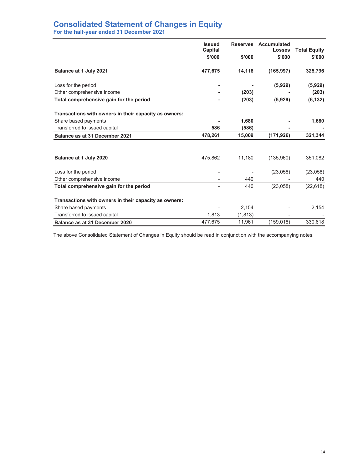# **Consolidated Statement of Changes in Equity**

**For the half-year ended 31 December 2021** 

|                                                       | <b>Issued</b><br>Capital |          | Reserves Accumulated<br><b>Losses</b> | <b>Total Equity</b> |
|-------------------------------------------------------|--------------------------|----------|---------------------------------------|---------------------|
|                                                       | \$'000                   | \$'000   | \$'000                                | \$'000              |
| Balance at 1 July 2021                                | 477,675                  | 14,118   | (165, 997)                            | 325,796             |
| Loss for the period                                   |                          |          | (5,929)                               | (5,929)             |
| Other comprehensive income                            |                          | (203)    |                                       | (203)               |
| Total comprehensive gain for the period               |                          | (203)    | (5,929)                               | (6, 132)            |
| Transactions with owners in their capacity as owners: |                          |          |                                       |                     |
| Share based payments                                  |                          | 1,680    |                                       | 1,680               |
| Transferred to issued capital                         | 586                      | (586)    |                                       |                     |
| Balance as at 31 December 2021                        | 478,261                  | 15,009   | (171, 926)                            | 321,344             |
|                                                       |                          |          |                                       |                     |
| Balance at 1 July 2020                                | 475,862                  | 11,180   | (135,960)                             | 351,082             |
| Loss for the period                                   |                          |          | (23,058)                              | (23,058)            |
| Other comprehensive income                            |                          | 440      |                                       | 440                 |
| Total comprehensive gain for the period               |                          | 440      | (23,058)                              | (22, 618)           |
| Transactions with owners in their capacity as owners: |                          |          |                                       |                     |
| Share based payments                                  |                          | 2,154    |                                       | 2,154               |
| Transferred to issued capital                         | 1,813                    | (1, 813) |                                       |                     |
| Balance as at 31 December 2020                        | 477,675                  | 11,961   | (159, 018)                            | 330,618             |

The above Consolidated Statement of Changes in Equity should be read in conjunction with the accompanying notes.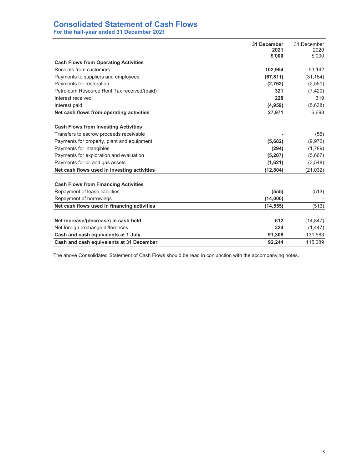## **Consolidated Statement of Cash Flows**

**For the half-year ended 31 December 2021** 

|                                             | 31 December<br>2021 | 31 December<br>2020 |
|---------------------------------------------|---------------------|---------------------|
|                                             | \$'000              | \$'000              |
| <b>Cash Flows from Operating Activities</b> |                     |                     |
| Receipts from customers                     | 102,954             | 53,142              |
| Payments to suppliers and employees         | (67, 811)           | (31, 154)           |
| Payments for restoration                    | (2,762)             | (2,551)             |
| Petroleum Resource Rent Tax received/(paid) | 321                 | (7, 420)            |
| Interest received                           | 228                 | 319                 |
| Interest paid                               | (4,959)             | (5,638)             |
| Net cash flows from operating activities    | 27,971              | 6,698               |
|                                             |                     |                     |
| <b>Cash Flows from Investing Activities</b> |                     |                     |
| Transfers to escrow proceeds receivable     |                     | (56)                |
| Payments for property, plant and equipment  | (5,682)             | (9,972)             |
| Payments for intangibles                    | (294)               | (1,789)             |
| Payments for exploration and evaluation     | (5,207)             | (5,667)             |
| Payments for oil and gas assets             | (1,621)             | (3, 548)            |
| Net cash flows used in investing activities | (12, 804)           | (21, 032)           |
| <b>Cash Flows from Financing Activities</b> |                     |                     |
| Repayment of lease liabilities              | (555)               | (513)               |
| Repayment of borrowings                     | (14,000)            |                     |
| Net cash flows used in financing activities | (14, 555)           | (513)               |
|                                             |                     |                     |
| Net increase/(decrease) in cash held        | 612                 | (14, 847)           |
| Net foreign exchange differences            | 324                 | (1, 447)            |
| Cash and cash equivalents at 1 July         | 91,308              | 131,583             |
| Cash and cash equivalents at 31 December    | 92.244              | 115.289             |

The above Consolidated Statement of Cash Flows should be read in conjunction with the accompanying notes.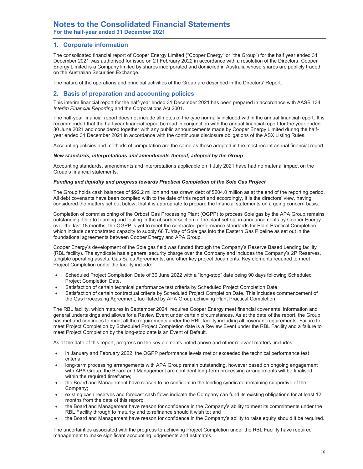### **1. Corporate information**

The consolidated financial report of Cooper Energy Limited ("Cooper Energy" or "the Group") for the half year ended 31 December 2021 was authorised for issue on 21 February 2022 in accordance with a resolution of the Directors. Cooper Energy Limited is a Company limited by shares incorporated and domiciled in Australia whose shares are publicly traded on the Australian Securities Exchange.

The nature of the operations and principal activities of the Group are described in the Directors' Report.

### **2. Basis of preparation and accounting policies**

This interim financial report for the half-year ended 31 December 2021 has been prepared in accordance with AASB 134 *Interim Financial Reporting* and the Corporations Act 2001.

The half-year financial report does not include all notes of the type normally included within the annual financial report. It is recommended that the half-year financial report be read in conjunction with the annual financial report for the year ended 30 June 2021 and considered together with any public announcements made by Cooper Energy Limited during the halfyear ended 31 December 2021 in accordance with the continuous disclosure obligations of the ASX Listing Rules.

Accounting policies and methods of computation are the same as those adopted in the most recent annual financial report.

#### *New standards, interpretations and amendments thereof, adopted by the Group*

Accounting standards, amendments and interpretations applicable on 1 July 2021 have had no material impact on the Group's financial statements.

#### *Funding and liquidity and progress towards Practical Completion of the Sole Gas Project*

The Group holds cash balances of \$92.2 million and has drawn debt of \$204.0 million as at the end of the reporting period. All debt covenants have been complied with to the date of this report and accordingly, it is the directors' view, having considered the matters set out below, that it is appropriate to prepare the financial statements on a going concern basis.

Completion of commissioning of the Orbost Gas Processing Plant (OGPP) to process Sole gas by the APA Group remains outstanding. Due to foaming and fouling in the absorber section of the plant set out in announcements by Cooper Energy over the last 18 months, the OGPP is yet to meet the contracted performance standards for Plant Practical Completion, which include demonstrated capacity to supply 68 TJ/day of Sole gas into the Eastern Gas Pipeline as set out in the foundational agreements between Cooper Energy and APA Group.

Cooper Energy's development of the Sole gas field was funded through the Company's Reserve Based Lending facility (RBL facility). The syndicate has a general security charge over the Company and includes the Company's 2P Reserves, tangible operating assets, Gas Sales Agreements, and other key project documents. Key elements required to meet Project Completion under the facility include:

- Scheduled Project Completion Date of 30 June 2022 with a "long-stop" date being 90 days following Scheduled Project Completion Date.
- Satisfaction of certain technical performance test criteria by Scheduled Project Completion Date.
- Satisfaction of certain contractual criteria by Scheduled Project Completion Date. This includes commencement of the Gas Processing Agreement, facilitated by APA Group achieving Plant Practical Completion.

The RBL facility, which matures in September 2024, requires Cooper Energy meet financial covenants, information and general undertakings and allows for a Review Event under certain circumstances. As at the date of the report, the Group has met and continues to meet all the requirements under the RBL facility including all covenant requirements. Failure to meet Project Completion by Scheduled Project Completion date is a Review Event under the RBL Facility and a failure to meet Project Completion by the long-stop date is an Event of Default.

As at the date of this report, progress on the key elements noted above and other relevant matters, includes:

- in January and February 2022, the OGPP performance levels met or exceeded the technical performance test criteria;
- long-term processing arrangements with APA Group remain outstanding, however based on ongoing engagement with APA Group, the Board and Management are confident long-term processing arrangements will be finalised within the required timeframe;
- x the Board and Management have reason to be confident in the lending syndicate remaining supportive of the Company;
- existing cash reserves and forecast cash flows indicate the Company can fund its existing obligations for at least 12 months from the date of this report;
- the Board and Management have reason for confidence in the Company's ability to meet its commitments under the RBL Facility through to maturity and to refinance should it wish to; and
- the Board and Management have reason for confidence in the Company's ability to raise equity should it be required.

The uncertainties associated with the progress to achieving Project Completion under the RBL Facility have required management to make significant accounting judgements and estimates.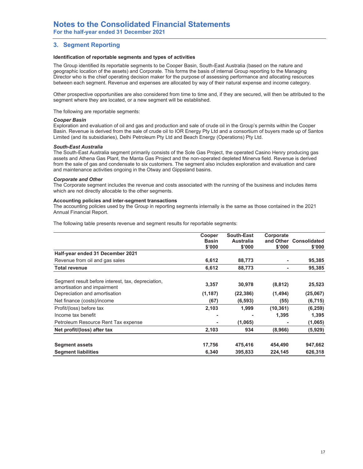## **3. Segment Reporting**

#### **Identification of reportable segments and types of activities**

The Group identified its reportable segments to be Cooper Basin, South-East Australia (based on the nature and geographic location of the assets) and Corporate. This forms the basis of internal Group reporting to the Managing Director who is the chief operating decision maker for the purpose of assessing performance and allocating resources between each segment. Revenue and expenses are allocated by way of their natural expense and income category.

Other prospective opportunities are also considered from time to time and, if they are secured, will then be attributed to the segment where they are located, or a new segment will be established.

The following are reportable segments:

#### *Cooper Basin*

Exploration and evaluation of oil and gas and production and sale of crude oil in the Group's permits within the Cooper Basin. Revenue is derived from the sale of crude oil to IOR Energy Pty Ltd and a consortium of buyers made up of Santos Limited (and its subsidiaries), Delhi Petroleum Pty Ltd and Beach Energy (Operations) Pty Ltd.

#### *South-East Australia*

The South-East Australia segment primarily consists of the Sole Gas Project, the operated Casino Henry producing gas assets and Athena Gas Plant, the Manta Gas Project and the non-operated depleted Minerva field. Revenue is derived from the sale of gas and condensate to six customers. The segment also includes exploration and evaluation and care and maintenance activities ongoing in the Otway and Gippsland basins.

#### *Corporate and Other*

The Corporate segment includes the revenue and costs associated with the running of the business and includes items which are not directly allocable to the other segments.

#### **Accounting policies and inter-segment transactions**

The accounting policies used by the Group in reporting segments internally is the same as those contained in the 2021 Annual Financial Report.

The following table presents revenue and segment results for reportable segments:

|                                                                                   | Cooper<br><b>Basin</b><br>\$'000 | South-East<br><b>Australia</b><br>\$'000 | Corporate<br>\$'000 | and Other Consolidated<br>\$'000 |
|-----------------------------------------------------------------------------------|----------------------------------|------------------------------------------|---------------------|----------------------------------|
| Half-year ended 31 December 2021                                                  |                                  |                                          |                     |                                  |
| Revenue from oil and gas sales                                                    | 6,612                            | 88,773                                   | ۰                   | 95,385                           |
| <b>Total revenue</b>                                                              | 6,612                            | 88,773                                   | ٠                   | 95,385                           |
| Segment result before interest, tax, depreciation,<br>amortisation and impairment | 3,357                            | 30,978                                   | (8, 812)            | 25,523                           |
| Depreciation and amortisation                                                     | (1, 187)                         | (22, 386)                                | (1, 494)            | (25,067)                         |
| Net finance (costs)/income                                                        | (67)                             | (6, 593)                                 | (55)                | (6, 715)                         |
| Profit/(loss) before tax                                                          | 2,103                            | 1,999                                    | (10, 361)           | (6, 259)                         |
| Income tax benefit                                                                | -                                |                                          | 1,395               | 1,395                            |
| Petroleum Resource Rent Tax expense                                               |                                  | (1,065)                                  |                     | (1,065)                          |
| Net profit/(loss) after tax                                                       | 2,103                            | 934                                      | (8,966)             | (5,929)                          |
| <b>Segment assets</b>                                                             | 17,756                           | 475,416                                  | 454,490             | 947,662                          |
| <b>Segment liabilities</b>                                                        | 6,340                            | 395,833                                  | 224,145             | 626,318                          |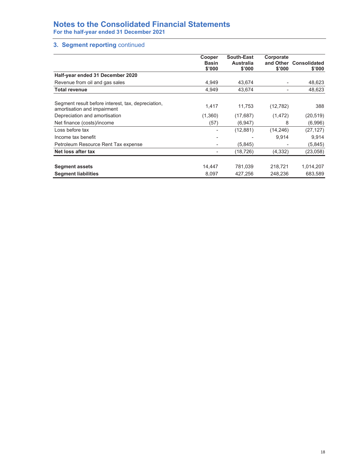# **Notes to the Consolidated Financial Statements**

**For the half-year ended 31 December 2021** 

## **3. Segment reporting** continued

|                                                                                   | Cooper<br><b>Basin</b><br>\$'000 | <b>South-East</b><br>Australia<br>\$'000 | Corporate<br>\$'000 | and Other Consolidated<br>\$'000 |
|-----------------------------------------------------------------------------------|----------------------------------|------------------------------------------|---------------------|----------------------------------|
| Half-year ended 31 December 2020                                                  |                                  |                                          |                     |                                  |
| Revenue from oil and gas sales                                                    | 4,949                            | 43,674                                   | ٠                   | 48,623                           |
| <b>Total revenue</b>                                                              | 4,949                            | 43,674                                   | ٠                   | 48,623                           |
| Segment result before interest, tax, depreciation,<br>amortisation and impairment | 1,417                            | 11,753                                   | (12, 782)           | 388                              |
| Depreciation and amortisation                                                     | (1,360)                          | (17, 687)                                | (1, 472)            | (20, 519)                        |
| Net finance (costs)/income                                                        | (57)                             | (6,947)                                  | 8                   | (6,996)                          |
| Loss before tax                                                                   |                                  | (12, 881)                                | (14, 246)           | (27, 127)                        |
| Income tax benefit                                                                | ۰                                |                                          | 9,914               | 9,914                            |
| Petroleum Resource Rent Tax expense                                               | ۰                                | (5, 845)                                 | ٠                   | (5,845)                          |
| Net loss after tax                                                                |                                  | (18, 726)                                | (4, 332)            | (23, 058)                        |
| <b>Segment assets</b>                                                             | 14.447                           | 781,039                                  | 218,721             | 1,014,207                        |
| <b>Segment liabilities</b>                                                        | 8.097                            | 427,256                                  | 248.236             | 683,589                          |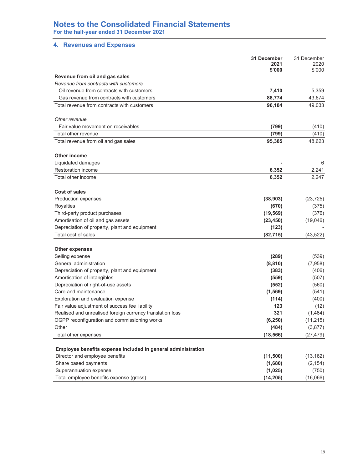## **Notes to the Consolidated Financial Statements For the half-year ended 31 December 2021**

## **4. Revenues and Expenses**

|                                                                   | 31 December<br>2021 | 31 December<br>2020 |
|-------------------------------------------------------------------|---------------------|---------------------|
|                                                                   | \$'000              | \$'000              |
| Revenue from oil and gas sales                                    |                     |                     |
| Revenue from contracts with customers                             |                     |                     |
| Oil revenue from contracts with customers                         | 7,410               | 5,359               |
| Gas revenue from contracts with customers                         | 88,774              | 43,674              |
| Total revenue from contracts with customers                       | 96,184              | 49,033              |
| Other revenue                                                     |                     |                     |
| Fair value movement on receivables                                | (799)               | (410)               |
| Total other revenue                                               | (799)               | (410)               |
| Total revenue from oil and gas sales                              | 95,385              | 48,623              |
|                                                                   |                     |                     |
| Other income                                                      |                     |                     |
| Liquidated damages                                                |                     | 6                   |
| Restoration income                                                | 6,352               | 2,241               |
| Total other income                                                | 6,352               | 2,247               |
| Cost of sales                                                     |                     |                     |
| Production expenses                                               | (38, 903)           | (23, 725)           |
| Royalties                                                         | (670)               | (375)               |
| Third-party product purchases                                     | (19, 569)           | (376)               |
| Amortisation of oil and gas assets                                | (23, 450)           | (19,046)            |
| Depreciation of property, plant and equipment                     | (123)               |                     |
| Total cost of sales                                               | (82, 715)           | (43, 522)           |
|                                                                   |                     |                     |
| <b>Other expenses</b>                                             |                     |                     |
| Selling expense                                                   | (289)               | (539)               |
| General administration                                            | (8, 810)            | (7,958)             |
| Depreciation of property, plant and equipment                     | (383)               | (406)               |
| Amortisation of intangibles                                       | (559)               | (507)               |
| Depreciation of right-of-use assets                               | (552)               | (560)               |
| Care and maintenance                                              | (1, 569)            | (541)               |
| Exploration and evaluation expense                                | (114)               | (400)               |
| Fair value adjustment of success fee liability                    | 123                 | (12)                |
| Realised and unrealised foreign currency translation loss         | 321                 | (1,464)             |
| OGPP reconfiguration and commissioning works                      | (6, 250)            | (11, 215)           |
| Other                                                             | (484)               | (3,877)             |
| Total other expenses                                              | (18, 566)           | (27, 479)           |
|                                                                   |                     |                     |
| Employee benefits expense included in general administration      |                     |                     |
| Director and employee benefits                                    | (11,500)            | (13, 162)           |
| Share based payments                                              | (1,680)             | (2, 154)            |
| Superannuation expense<br>Total employee benefits expense (gross) | (1,025)             | (750)               |
|                                                                   | (14, 205)           | (16,066)            |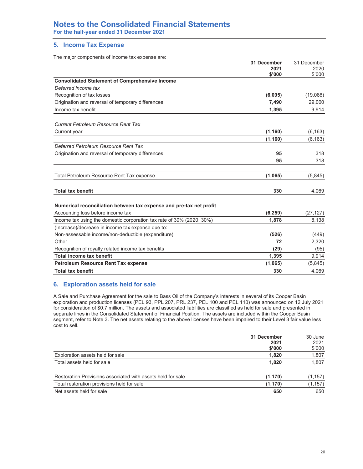# **Notes to the Consolidated Financial Statements**

**For the half-year ended 31 December 2021** 

## **5. Income Tax Expense**

The major components of income tax expense are:

|                                                                       | 31 December<br>2021<br>\$'000 | 31 December<br>2020<br>\$'000 |
|-----------------------------------------------------------------------|-------------------------------|-------------------------------|
| <b>Consolidated Statement of Comprehensive Income</b>                 |                               |                               |
| Deferred income tax                                                   |                               |                               |
| Recognition of tax losses                                             | (6,095)                       | (19,086)                      |
| Origination and reversal of temporary differences                     | 7,490                         | 29,000                        |
| Income tax benefit                                                    | 1,395                         | 9,914                         |
| <b>Current Petroleum Resource Rent Tax</b>                            |                               |                               |
| Current year                                                          | (1, 160)                      | (6, 163)                      |
|                                                                       | (1, 160)                      | (6, 163)                      |
| Deferred Petroleum Resource Rent Tax                                  |                               |                               |
| Origination and reversal of temporary differences                     | 95                            | 318                           |
|                                                                       | 95                            | 318                           |
| Total Petroleum Resource Rent Tax expense                             | (1,065)                       | (5,845)                       |
| <b>Total tax benefit</b>                                              | 330                           | 4,069                         |
| Numerical reconciliation between tax expense and pre-tax net profit   |                               |                               |
| Accounting loss before income tax                                     | (6, 259)                      | (27, 127)                     |
| Income tax using the domestic corporation tax rate of 30% (2020: 30%) | 1,878                         | 8,138                         |
| (Increase)/decrease in income tax expense due to:                     |                               |                               |
| Non-assessable income/non-deductible (expenditure)                    | (526)                         | (449)                         |
| Other                                                                 | 72                            | 2,320                         |
| Recognition of royalty related income tax benefits                    | (29)                          | (95)                          |
| <b>Total income tax benefit</b>                                       | 1,395                         | 9,914                         |
| <b>Petroleum Resource Rent Tax expense</b>                            | (1,065)                       | (5,845)                       |
| <b>Total tax benefit</b>                                              | 330                           | 4,069                         |

### **6. Exploration assets held for sale**

A Sale and Purchase Agreement for the sale to Bass Oil of the Company's interests in several of its Cooper Basin exploration and production licenses (PEL 93, PPL 207, PRL 237, PEL 100 and PEL 110) was announced on 12 July 2021 for consideration of \$0.7 million. The assets and associated liabilities are classified as held for sale and presented in separate lines in the Consolidated Statement of Financial Position. The assets are included within the Cooper Basin segment, refer to Note 3. The net assets relating to the above licenses have been impaired to their Level 3 fair value less cost to sell.

|                                                             | 31 December<br>2021 | 30 June<br>2021 |
|-------------------------------------------------------------|---------------------|-----------------|
|                                                             | \$'000              | \$'000          |
| Exploration assets held for sale                            | 1,820               | 1,807           |
| Total assets held for sale                                  | 1,820               | 1,807           |
|                                                             |                     |                 |
| Restoration Provisions associated with assets held for sale | (1, 170)            | (1, 157)        |
| Total restoration provisions held for sale                  | (1, 170)            | (1, 157)        |
| Net assets held for sale                                    | 650                 | 650             |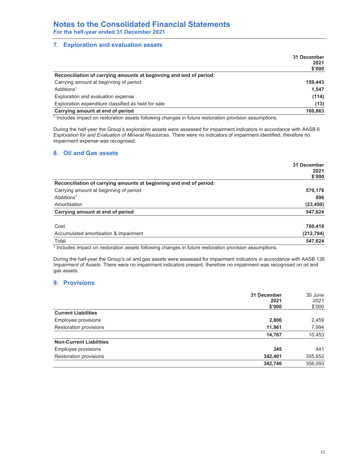## **7. Exploration and evaluation assets**

|                                                                    | 31 December |
|--------------------------------------------------------------------|-------------|
|                                                                    | 2021        |
|                                                                    | \$'000      |
| Reconciliation of carrying amounts at beginning and end of period: |             |
| Carrying amount at beginning of period                             | 159.443     |
| Additions <sup>1</sup>                                             | 1.547       |
| Exploration and evaluation expense                                 | (114)       |
| Exploration expenditure classified as held for sale                | (13)        |
| Carrying amount at end of period                                   | 160,863     |
| $\sim$ $\sim$ $\sim$                                               |             |

1 Includes impact on restoration assets following changes in future restoration provision assumptions.

During the half-year the Group's exploration assets were assessed for impairment indicators in accordance with AASB 6 *Exploration for and Evaluation of Mineral Resources*. There were no indicators of impairment identified, therefore no impairment expense was recognised.

## **8. Oil and Gas assets**

|                                                                    | 31 December<br>2021<br>\$'000 |
|--------------------------------------------------------------------|-------------------------------|
| Reconciliation of carrying amounts at beginning and end of period: |                               |
| Carrying amount at beginning of period                             | 570,178                       |
| Additions <sup>1</sup>                                             | 896                           |
| Amortisation                                                       | (23, 450)                     |
| Carrying amount at end of period                                   | 547,624                       |
| Cost                                                               | 760,418                       |
| Accumulated amortisation & impairment                              | (212, 794)                    |
| Total                                                              | 547.624                       |

 $1$  Includes impact on restoration assets following changes in future restoration provision assumptions.

During the half-year the Group's oil and gas assets were assessed for impairment indicators in accordance with AASB 136 *Impairment of Assets*. There were no impairment indicators present, therefore no impairment was recognised on oil and gas assets.

## **9. Provisions**

|                                | 31 December<br>2021<br>\$'000 | 30 June<br>2021<br>\$'000 |
|--------------------------------|-------------------------------|---------------------------|
| <b>Current Liabilities</b>     |                               |                           |
| Employee provisions            | 2,806                         | 2,459                     |
| Restoration provisions         | 11,961                        | 7,994                     |
|                                | 14,767                        | 10,453                    |
| <b>Non-Current Liabilities</b> |                               |                           |
| Employee provisions            | 345                           | 441                       |
| Restoration provisions         | 342,401                       | 355,652                   |
|                                | 342,746                       | 356,093                   |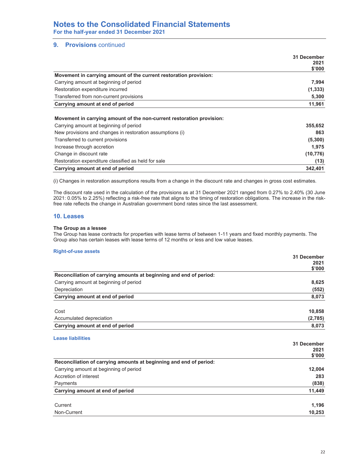### **9.** Provisions continued

|                                                                   | 31 December |
|-------------------------------------------------------------------|-------------|
|                                                                   | 2021        |
|                                                                   | \$'000      |
| Movement in carrying amount of the current restoration provision: |             |
| Carrying amount at beginning of period                            | 7,994       |
| Restoration expenditure incurred                                  | (1, 333)    |
| Transferred from non-current provisions                           | 5,300       |
| Carrying amount at end of period                                  | 11,961      |

### **Movement in carrying amount of the non-current restoration provision:**

| Carrying amount at beginning of period                    | 355,652   |
|-----------------------------------------------------------|-----------|
| New provisions and changes in restoration assumptions (i) | 863       |
| Transferred to current provisions                         | (5,300)   |
| Increase through accretion                                | 1.975     |
| Change in discount rate                                   | (10, 776) |
| Restoration expenditure classified as held for sale       | (13)      |
| Carrying amount at end of period                          | 342.401   |

(i) Changes in restoration assumptions results from a change in the discount rate and changes in gross cost estimates.

The discount rate used in the calculation of the provisions as at 31 December 2021 ranged from 0.27% to 2.40% (30 June 2021: 0.05% to 2.25%) reflecting a risk-free rate that aligns to the timing of restoration obligations. The increase in the riskfree rate reflects the change in Australian government bond rates since the last assessment.

## **10. Leases**

#### **The Group as a lessee**

The Group has lease contracts for properties with lease terms of between 1-11 years and fixed monthly payments. The Group also has certain leases with lease terms of 12 months or less and low value leases.

#### **Right-of-use assets**

|                                                                    | 31 December |
|--------------------------------------------------------------------|-------------|
|                                                                    | 2021        |
|                                                                    | \$'000      |
| Reconciliation of carrying amounts at beginning and end of period: |             |
| Carrying amount at beginning of period                             | 8,625       |
| Depreciation                                                       | (552)       |
| Carrying amount at end of period                                   | 8,073       |
| Cost                                                               | 10,858      |
| Accumulated depreciation                                           | (2,785)     |
| Carrying amount at end of period                                   | 8,073       |
| <b>Lease liabilities</b>                                           |             |
|                                                                    | 31 December |
|                                                                    | 2021        |
|                                                                    | \$'000      |
| Reconciliation of carrying amounts at beginning and end of period: |             |
| Carrying amount at beginning of period                             | 12,004      |
| Accretion of interest                                              | 283         |
| Payments                                                           | (838)       |
| Carrying amount at end of period                                   | 11,449      |
| Current                                                            | 1,196       |
| Non-Current                                                        | 10,253      |
|                                                                    |             |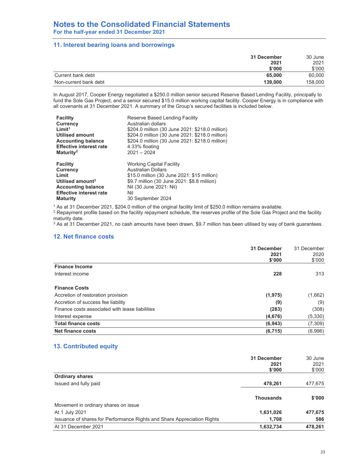### **11. Interest bearing loans and borrowings**

| 31 December                      | 30 June          |
|----------------------------------|------------------|
|                                  | 2021<br>2021     |
|                                  | \$'000<br>\$'000 |
| Current bank debt                | 60,000<br>65,000 |
| Non-current bank debt<br>139,000 | 158,000          |

In August 2017, Cooper Energy negotiated a \$250.0 million senior secured Reserve Based Lending Facility, principally to fund the Sole Gas Project, and a senior secured \$15.0 million working capital facility. Cooper Energy is in compliance with all covenants at 31 December 2021. A summary of the Group's secured facilities is included below.

| Reserve Based Lending Facility<br>Australian dollars<br>\$204.0 million (30 June 2021: \$218.0 million)<br>\$204.0 million (30 June 2021: \$218.0 million)<br>\$204.0 million (30 June 2021: \$218.0 million)<br>4.33% floating<br>$2021 - 2024$ |
|--------------------------------------------------------------------------------------------------------------------------------------------------------------------------------------------------------------------------------------------------|
| <b>Working Capital Facility</b><br><b>Australian Dollars</b><br>\$15.0 million (30 June 2021: \$15 million)<br>\$9.7 million (30 June 2021: \$8.8 million)<br>Nil (30 June 2021: Nil)<br>Nil<br>30 September 2024                                |
|                                                                                                                                                                                                                                                  |

1 As at 31 December 2021, \$204.0 million of the original facility limit of \$250.0 million remains available.

2 Repayment profile based on the facility repayment schedule, the reserves profile of the Sole Gas Project and the facility maturity date.

 $3$  As at 31 December 2021, no cash amounts have been drawn, \$9.7 million has been utilised by way of bank guarantees.

### **12. Net finance costs**

|                                                 | 31 December<br>2021<br>\$'000 | 31 December<br>2020<br>\$'000 |
|-------------------------------------------------|-------------------------------|-------------------------------|
| <b>Finance Income</b>                           |                               |                               |
| Interest income                                 | 228                           | 313                           |
| <b>Finance Costs</b>                            |                               |                               |
| Accretion of restoration provision              | (1, 975)                      | (1,662)                       |
| Accretion of success fee liability              | (9)                           | (9)                           |
| Finance costs associated with lease liabilities | (283)                         | (308)                         |
| Interest expense                                | (4,676)                       | (5,330)                       |
| <b>Total finance costs</b>                      | (6, 943)                      | (7,309)                       |
| <b>Net finance costs</b>                        | (6, 715)                      | (6,996)                       |

## **13. Contributed equity**

|                                                                         | 31 December      | 30 June |
|-------------------------------------------------------------------------|------------------|---------|
|                                                                         | 2021             | 2021    |
|                                                                         | \$'000           | \$'000  |
| <b>Ordinary shares</b>                                                  |                  |         |
| Issued and fully paid                                                   | 478,261          | 477,675 |
|                                                                         |                  |         |
|                                                                         | <b>Thousands</b> | \$'000  |
| Movement in ordinary shares on issue                                    |                  |         |
| At 1 July 2021                                                          | 1,631,026        | 477,675 |
| Issuance of shares for Performance Rights and Share Appreciation Rights | 1.708            | 586     |
| At 31 December 2021                                                     | 1,632,734        | 478,261 |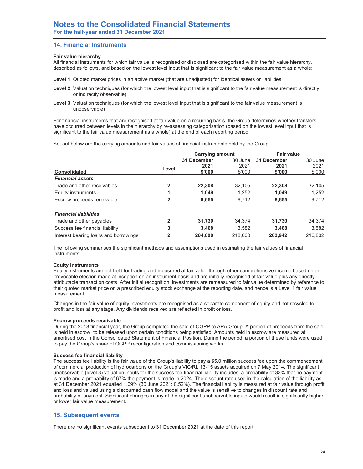## **14. Financial Instruments**

#### **Fair value hierarchy**

All financial instruments for which fair value is recognised or disclosed are categorised within the fair value hierarchy, described as follows, and based on the lowest level input that is significant to the fair value measurement as a whole:

- **Level 1** Quoted market prices in an active market (that are unadjusted) for identical assets or liabilities
- Level 2 Valuation techniques (for which the lowest level input that is significant to the fair value measurement is directly or indirectly observable)
- **Level 3** Valuation techniques (for which the lowest level input that is significant to the fair value measurement is unobservable)

For financial instruments that are recognised at fair value on a recurring basis, the Group determines whether transfers have occurred between levels in the hierarchy by re-assessing categorisation (based on the lowest level input that is significant to the fair value measurement as a whole) at the end of each reporting period.

Set out below are the carrying amounts and fair values of financial instruments held by the Group:

|                                       |       | <b>Carrying amount</b> |         | <b>Fair value</b> |         |
|---------------------------------------|-------|------------------------|---------|-------------------|---------|
|                                       |       | 31 December            | 30 June | 31 December       | 30 June |
|                                       | Level | 2021                   | 2021    | 2021              | 2021    |
| Consolidated                          |       | \$'000                 | \$'000  | \$'000            | \$'000  |
| <b>Financial assets</b>               |       |                        |         |                   |         |
| Trade and other receivables           | 2     | 22,308                 | 32.105  | 22.308            | 32,105  |
| Equity instruments                    | 1     | 1.049                  | 1.252   | 1.049             | 1.252   |
| Escrow proceeds receivable            | 2     | 8,655                  | 9,712   | 8,655             | 9,712   |
| <b>Financial liabilities</b>          |       |                        |         |                   |         |
| Trade and other payables              | 2     | 31,730                 | 34.374  | 31.730            | 34,374  |
| Success fee financial liability       | 3     | 3.468                  | 3.582   | 3.468             | 3.582   |
| Interest bearing loans and borrowings | 2     | 204.000                | 218,000 | 203.942           | 216.802 |

The following summarises the significant methods and assumptions used in estimating the fair values of financial instruments:

#### **Equity instruments**

Equity instruments are not held for trading and measured at fair value through other comprehensive income based on an irrevocable election made at inception on an instrument basis and are initially recognised at fair value plus any directly attributable transaction costs. After initial recognition, investments are remeasured to fair value determined by reference to their quoted market price on a prescribed equity stock exchange at the reporting date, and hence is a Level 1 fair value measurement.

Changes in the fair value of equity investments are recognised as a separate component of equity and not recycled to profit and loss at any stage. Any dividends received are reflected in profit or loss.

#### **Escrow proceeds receivable**

During the 2018 financial year, the Group completed the sale of OGPP to APA Group. A portion of proceeds from the sale is held in escrow, to be released upon certain conditions being satisfied. Amounts held in escrow are measured at amortised cost in the Consolidated Statement of Financial Position. During the period, a portion of these funds were used to pay the Group's share of OGPP reconfiguration and commissioning works.

#### **Success fee financial liability**

The success fee liability is the fair value of the Group's liability to pay a \$5.0 million success fee upon the commencement of commercial production of hydrocarbons on the Group's VIC/RL 13-15 assets acquired on 7 May 2014. The significant unobservable (level 3) valuation inputs for the success fee financial liability includes: a probability of 33% that no payment is made and a probability of 67% the payment is made in 2024. The discount rate used in the calculation of the liability as at 31 December 2021 equalled 1.09% (30 June 2021: 0.52%). The financial liability is measured at fair value through profit and loss and valued using a discounted cash flow model and the value is sensitive to changes in discount rate and probability of payment. Significant changes in any of the significant unobservable inputs would result in significantly higher or lower fair value measurement.

### **15. Subsequent events**

There are no significant events subsequent to 31 December 2021 at the date of this report.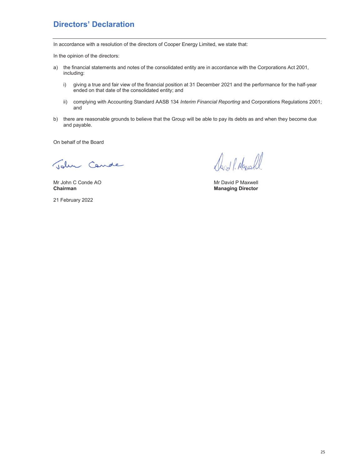## **Directors' Declaration**

In accordance with a resolution of the directors of Cooper Energy Limited, we state that:

In the opinion of the directors:

- a) the financial statements and notes of the consolidated entity are in accordance with the Corporations Act 2001, including:
	- i) giving a true and fair view of the financial position at 31 December 2021 and the performance for the half-year ended on that date of the consolidated entity; and
	- ii) complying with Accounting Standard AASB 134 *Interim Financial Reporting* and Corporations Regulations 2001; and
- b) there are reasonable grounds to believe that the Group will be able to pay its debts as and when they become due and payable.

On behalf of the Board

John Cande

Mr John C Conde AO **Mr David P Maxwell**<br> **Chairman** Chairman Chairman Chairman Chairman Chairman Chairman Chairman Chairman Chairman Chairman Chairman Chai

March 1. Marchel

**Managing Director** 

21 February 2022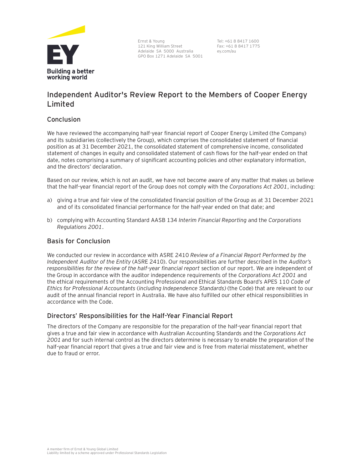

Ernst & Young 121 King William Street Adelaide SA 5000 Australia GPO Box 1271 Adelaide SA 5001

Tel: +61 8 8417 1600 Fax: +61 8 8417 1775 ey.com/au

## **Independent Auditor's Review Report to the Members of Cooper Energy Limited**

## **Conclusion**

We have reviewed the accompanying half-year financial report of Cooper Energy Limited (the Company) and its subsidiaries (collectively the Group), which comprises the consolidated statement of financial position as at 31 December 2021, the consolidated statement of comprehensive income, consolidated statement of changes in equity and consolidated statement of cash flows for the half-year ended on that date, notes comprising a summary of significant accounting policies and other explanatory information, and the directors' declaration.

Based on our review, which is not an audit, we have not become aware of any matter that makes us believe that the half-year financial report of the Group does not comply with the *Corporations Act 2001*, including:

- a) giving a true and fair view of the consolidated financial position of the Group as at 31 December 2021 and of its consolidated financial performance for the half-year ended on that date; and
- b) complying with Accounting Standard AASB 134 *Interim Financial Reporting* and the *Corporations Regulations 2001*.

## **Basis for Conclusion**

We conducted our review in accordance with ASRE 2410 *Review of a Financial Report Performed by the Independent Auditor of the Entity* (ASRE 2410). Our responsibilities are further described in the *Auditor's responsibilities for the review of the half-year financial report* section of our report. We are independent of the Group in accordance with the auditor independence requirements of the *Corporations Act 2001* and the ethical requirements of the Accounting Professional and Ethical Standards Board's APES 110 *Code of Ethics for Professional Accountants* (*including Independence Standards)* (the Code) that are relevant to our audit of the annual financial report in Australia. We have also fulfilled our other ethical responsibilities in accordance with the Code.

## **Directors' Responsibilities for the Half-Year Financial Report**

The directors of the Company are responsible for the preparation of the half-year financial report that gives a true and fair view in accordance with Australian Accounting Standards and the *Corporations Act 2001* and for such internal control as the directors determine is necessary to enable the preparation of the half-year financial report that gives a true and fair view and is free from material misstatement, whether due to fraud or error.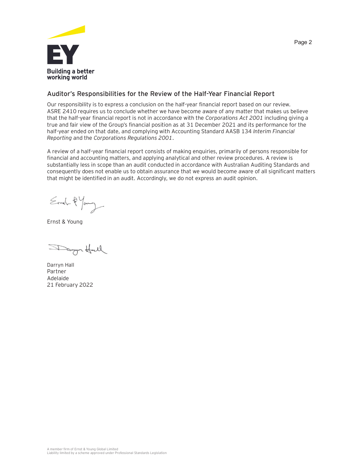

## **Auditor's Responsibilities for the Review of the Half-Year Financial Report**

Our responsibility is to express a conclusion on the half-year financial report based on our review. ASRE 2410 requires us to conclude whether we have become aware of any matter that makes us believe that the half-year financial report is not in accordance with the *Corporations Act 2001* including giving a true and fair view of the Group's financial position as at 31 December 2021 and its performance for the half-year ended on that date, and complying with Accounting Standard AASB 134 *Interim Financial Reporting* and the *Corporations Regulations 2001*.

A review of a half-year financial report consists of making enquiries, primarily of persons responsible for financial and accounting matters, and applying analytical and other review procedures. A review is substantially less in scope than an audit conducted in accordance with Australian Auditing Standards and consequently does not enable us to obtain assurance that we would become aware of all significant matters that might be identified in an audit. Accordingly, we do not express an audit opinion.

Ernel-2 Young

Ernst & Young

Danger Holl

Darryn Hall Partner Adelaide 21 February 2022